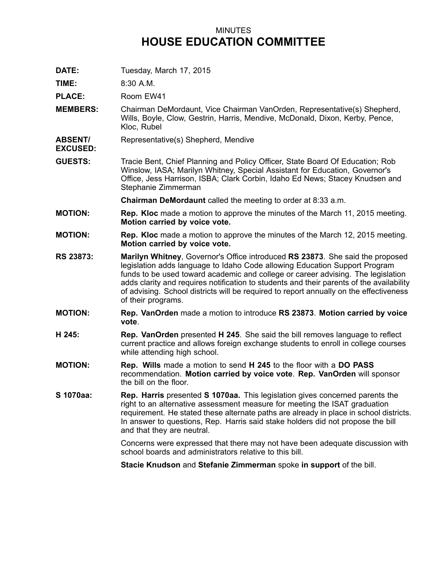## MINUTES **HOUSE EDUCATION COMMITTEE**

**DATE:** Tuesday, March 17, 2015

**TIME:** 8:30 A.M.

**PLACE:** Room EW41

- **MEMBERS:** Chairman DeMordaunt, Vice Chairman VanOrden, Representative(s) Shepherd, Wills, Boyle, Clow, Gestrin, Harris, Mendive, McDonald, Dixon, Kerby, Pence, Kloc, Rubel
- **ABSENT/** Representative(s) Shepherd, Mendive
- **EXCUSED:**
- **GUESTS:** Tracie Bent, Chief Planning and Policy Officer, State Board Of Education; Rob Winslow, IASA; Marilyn Whitney, Special Assistant for Education, Governor's Office, Jess Harrison, ISBA; Clark Corbin, Idaho Ed News; Stacey Knudsen and Stephanie Zimmerman

**Chairman DeMordaunt** called the meeting to order at 8:33 a.m.

- **MOTION: Rep. Kloc** made <sup>a</sup> motion to approve the minutes of the March 11, 2015 meeting. **Motion carried by voice vote.**
- **MOTION: Rep. Kloc** made <sup>a</sup> motion to approve the minutes of the March 12, 2015 meeting. **Motion carried by voice vote.**
- **RS 23873: Marilyn Whitney**, Governor's Office introduced **RS 23873**. She said the proposed legislation adds language to Idaho Code allowing Education Support Program funds to be used toward academic and college or career advising. The legislation adds clarity and requires notification to students and their parents of the availability of advising. School districts will be required to report annually on the effectiveness of their programs.
- **MOTION: Rep. VanOrden** made <sup>a</sup> motion to introduce **RS 23873**. **Motion carried by voice vote**.
- **H 245: Rep. VanOrden** presented **H 245**. She said the bill removes language to reflect current practice and allows foreign exchange students to enroll in college courses while attending high school.
- **MOTION: Rep. Wills** made <sup>a</sup> motion to send **H 245** to the floor with <sup>a</sup> **DO PASS** recommendation. **Motion carried by voice vote**. **Rep. VanOrden** will sponsor the bill on the floor.
- **S 1070aa: Rep. Harris** presented **S 1070aa.** This legislation gives concerned parents the right to an alternative assessment measure for meeting the ISAT graduation requirement. He stated these alternate paths are already in place in school districts. In answer to questions, Rep. Harris said stake holders did not propose the bill and that they are neutral.

Concerns were expressed that there may not have been adequate discussion with school boards and administrators relative to this bill.

**Stacie Knudson** and **Stefanie Zimmerman** spoke **in support** of the bill.